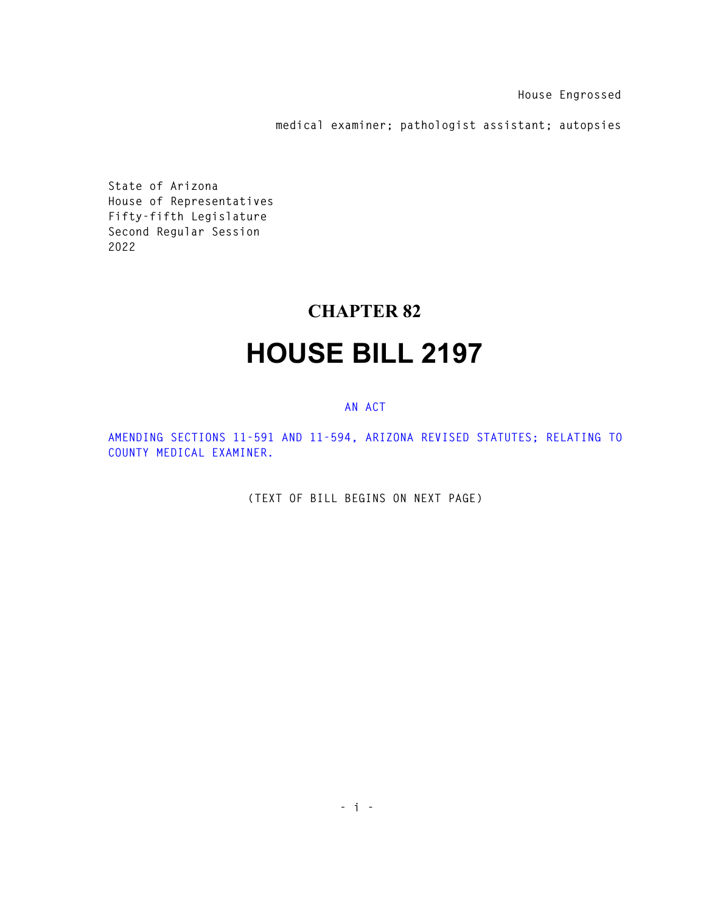**House Engrossed** 

**medical examiner; pathologist assistant; autopsies** 

**State of Arizona House of Representatives Fifty-fifth Legislature Second Regular Session 2022** 

## **CHAPTER 82**

## **HOUSE BILL 2197**

## **AN ACT**

**AMENDING SECTIONS 11-591 AND 11-594, ARIZONA REVISED STATUTES; RELATING TO COUNTY MEDICAL EXAMINER.** 

**(TEXT OF BILL BEGINS ON NEXT PAGE)**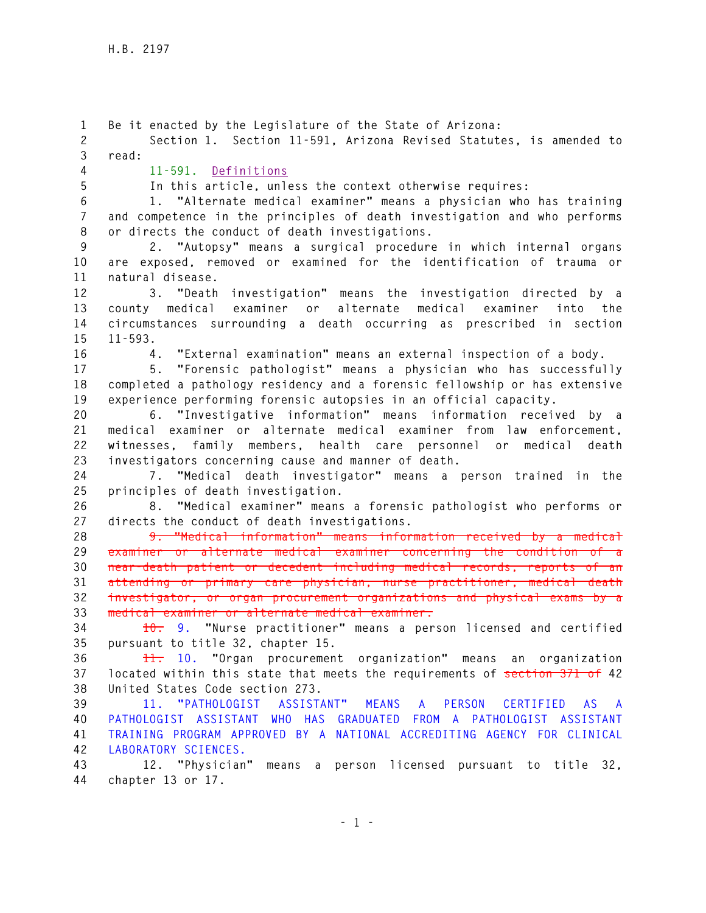**1 Be it enacted by the Legislature of the State of Arizona: 2 Section 1. Section 11-591, Arizona Revised Statutes, is amended to 3 read: 4 11-591. Definitions 5 In this article, unless the context otherwise requires: 6 1. "Alternate medical examiner" means a physician who has training 7 and competence in the principles of death investigation and who performs 8 or directs the conduct of death investigations. 9 2. "Autopsy" means a surgical procedure in which internal organs 10 are exposed, removed or examined for the identification of trauma or 11 natural disease. 12 3. "Death investigation" means the investigation directed by a 13 county medical examiner or alternate medical examiner into the 14 circumstances surrounding a death occurring as prescribed in section 15 11-593. 16 4. "External examination" means an external inspection of a body. 17 5. "Forensic pathologist" means a physician who has successfully 18 completed a pathology residency and a forensic fellowship or has extensive 19 experience performing forensic autopsies in an official capacity. 20 6. "Investigative information" means information received by a 21 medical examiner or alternate medical examiner from law enforcement, 22 witnesses, family members, health care personnel or medical death 23 investigators concerning cause and manner of death. 24 7. "Medical death investigator" means a person trained in the 25 principles of death investigation. 26 8. "Medical examiner" means a forensic pathologist who performs or 27 directs the conduct of death investigations. 28 9. "Medical information" means information received by a medical 29 examiner or alternate medical examiner concerning the condition of a 30 near-death patient or decedent including medical records, reports of an 31 attending or primary care physician, nurse practitioner, medical death 32 investigator, or organ procurement organizations and physical exams by a 33 medical examiner or alternate medical examiner. 34 10. 9. "Nurse practitioner" means a person licensed and certified 35 pursuant to title 32, chapter 15. 36 11. 10. "Organ procurement organization" means an organization 37 located within this state that meets the requirements of section 371 of 42 38 United States Code section 273. 39 11. "PATHOLOGIST ASSISTANT" MEANS A PERSON CERTIFIED AS A 40 PATHOLOGIST ASSISTANT WHO HAS GRADUATED FROM A PATHOLOGIST ASSISTANT 41 TRAINING PROGRAM APPROVED BY A NATIONAL ACCREDITING AGENCY FOR CLINICAL 42 LABORATORY SCIENCES. 43 12. "Physician" means a person licensed pursuant to title 32, 44 chapter 13 or 17.**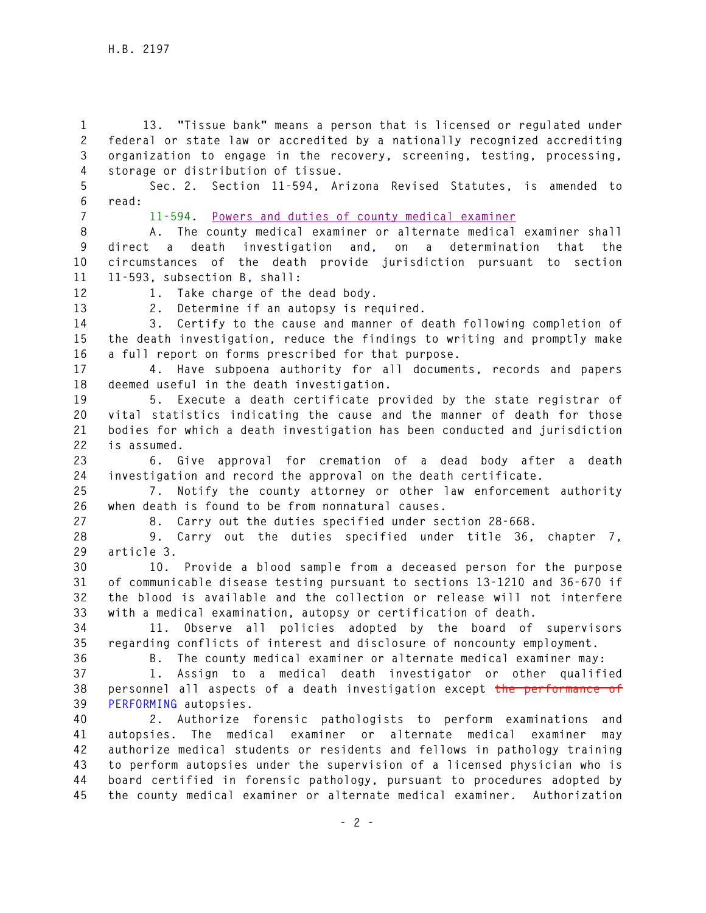**1 13. "Tissue bank" means a person that is licensed or regulated under 2 federal or state law or accredited by a nationally recognized accrediting 3 organization to engage in the recovery, screening, testing, processing, 4 storage or distribution of tissue.** 

**5 Sec. 2. Section 11-594, Arizona Revised Statutes, is amended to 6 read:** 

**7 11-594. Powers and duties of county medical examiner**

**8 A. The county medical examiner or alternate medical examiner shall 9 direct a death investigation and, on a determination that the 10 circumstances of the death provide jurisdiction pursuant to section 11 11-593, subsection B, shall:** 

**12 1. Take charge of the dead body.** 

**13 2. Determine if an autopsy is required.** 

**14 3. Certify to the cause and manner of death following completion of 15 the death investigation, reduce the findings to writing and promptly make 16 a full report on forms prescribed for that purpose.** 

**17 4. Have subpoena authority for all documents, records and papers 18 deemed useful in the death investigation.** 

**19 5. Execute a death certificate provided by the state registrar of 20 vital statistics indicating the cause and the manner of death for those 21 bodies for which a death investigation has been conducted and jurisdiction 22 is assumed.** 

**23 6. Give approval for cremation of a dead body after a death 24 investigation and record the approval on the death certificate.** 

**25 7. Notify the county attorney or other law enforcement authority 26 when death is found to be from nonnatural causes.** 

**27 8. Carry out the duties specified under section 28-668.** 

**28 9. Carry out the duties specified under title 36, chapter 7, 29 article 3.** 

**30 10. Provide a blood sample from a deceased person for the purpose 31 of communicable disease testing pursuant to sections 13-1210 and 36-670 if 32 the blood is available and the collection or release will not interfere 33 with a medical examination, autopsy or certification of death.** 

**34 11. Observe all policies adopted by the board of supervisors 35 regarding conflicts of interest and disclosure of noncounty employment.** 

**36 B. The county medical examiner or alternate medical examiner may:** 

**37 1. Assign to a medical death investigator or other qualified 38 personnel all aspects of a death investigation except the performance of 39 PERFORMING autopsies.** 

**40 2. Authorize forensic pathologists to perform examinations and 41 autopsies. The medical examiner or alternate medical examiner may 42 authorize medical students or residents and fellows in pathology training 43 to perform autopsies under the supervision of a licensed physician who is 44 board certified in forensic pathology, pursuant to procedures adopted by 45 the county medical examiner or alternate medical examiner. Authorization**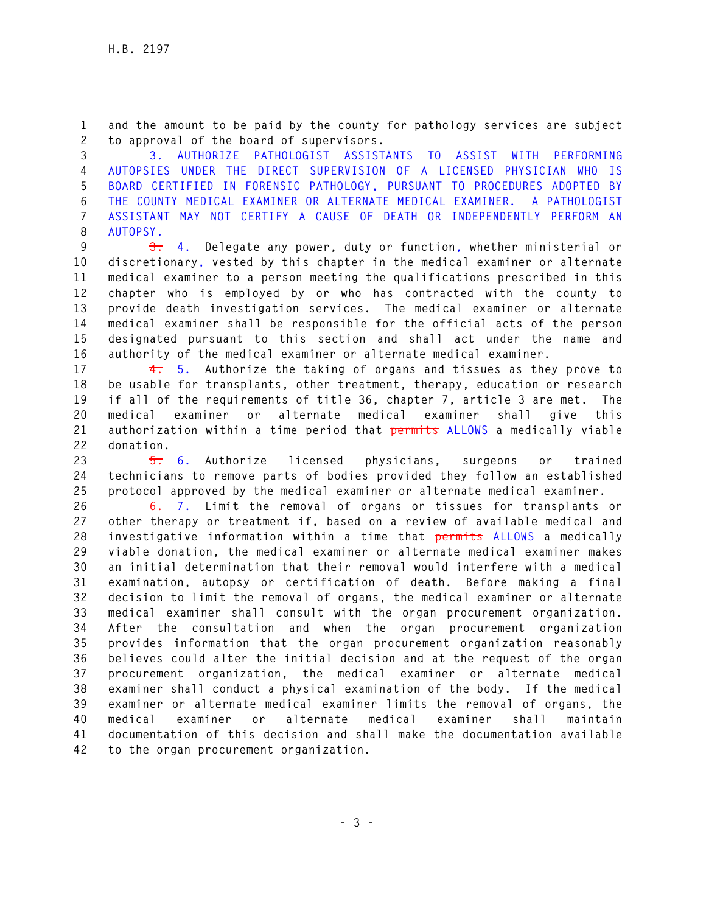**1 and the amount to be paid by the county for pathology services are subject 2 to approval of the board of supervisors.** 

**3 3. AUTHORIZE PATHOLOGIST ASSISTANTS TO ASSIST WITH PERFORMING 4 AUTOPSIES UNDER THE DIRECT SUPERVISION OF A LICENSED PHYSICIAN WHO IS 5 BOARD CERTIFIED IN FORENSIC PATHOLOGY, PURSUANT TO PROCEDURES ADOPTED BY 6 THE COUNTY MEDICAL EXAMINER OR ALTERNATE MEDICAL EXAMINER. A PATHOLOGIST 7 ASSISTANT MAY NOT CERTIFY A CAUSE OF DEATH OR INDEPENDENTLY PERFORM AN 8 AUTOPSY.** 

**9 3. 4. Delegate any power, duty or function, whether ministerial or 10 discretionary, vested by this chapter in the medical examiner or alternate 11 medical examiner to a person meeting the qualifications prescribed in this 12 chapter who is employed by or who has contracted with the county to 13 provide death investigation services. The medical examiner or alternate 14 medical examiner shall be responsible for the official acts of the person 15 designated pursuant to this section and shall act under the name and 16 authority of the medical examiner or alternate medical examiner.** 

**17 4. 5. Authorize the taking of organs and tissues as they prove to 18 be usable for transplants, other treatment, therapy, education or research 19 if all of the requirements of title 36, chapter 7, article 3 are met. The 20 medical examiner or alternate medical examiner shall give this 21 authorization within a time period that permits ALLOWS a medically viable 22 donation.** 

**23 5. 6. Authorize licensed physicians, surgeons or trained 24 technicians to remove parts of bodies provided they follow an established 25 protocol approved by the medical examiner or alternate medical examiner.** 

**26 6. 7. Limit the removal of organs or tissues for transplants or 27 other therapy or treatment if, based on a review of available medical and 28 investigative information within a time that permits ALLOWS a medically 29 viable donation, the medical examiner or alternate medical examiner makes 30 an initial determination that their removal would interfere with a medical 31 examination, autopsy or certification of death. Before making a final 32 decision to limit the removal of organs, the medical examiner or alternate 33 medical examiner shall consult with the organ procurement organization. 34 After the consultation and when the organ procurement organization 35 provides information that the organ procurement organization reasonably 36 believes could alter the initial decision and at the request of the organ 37 procurement organization, the medical examiner or alternate medical 38 examiner shall conduct a physical examination of the body. If the medical 39 examiner or alternate medical examiner limits the removal of organs, the 40 medical examiner or alternate medical examiner shall maintain 41 documentation of this decision and shall make the documentation available 42 to the organ procurement organization.**